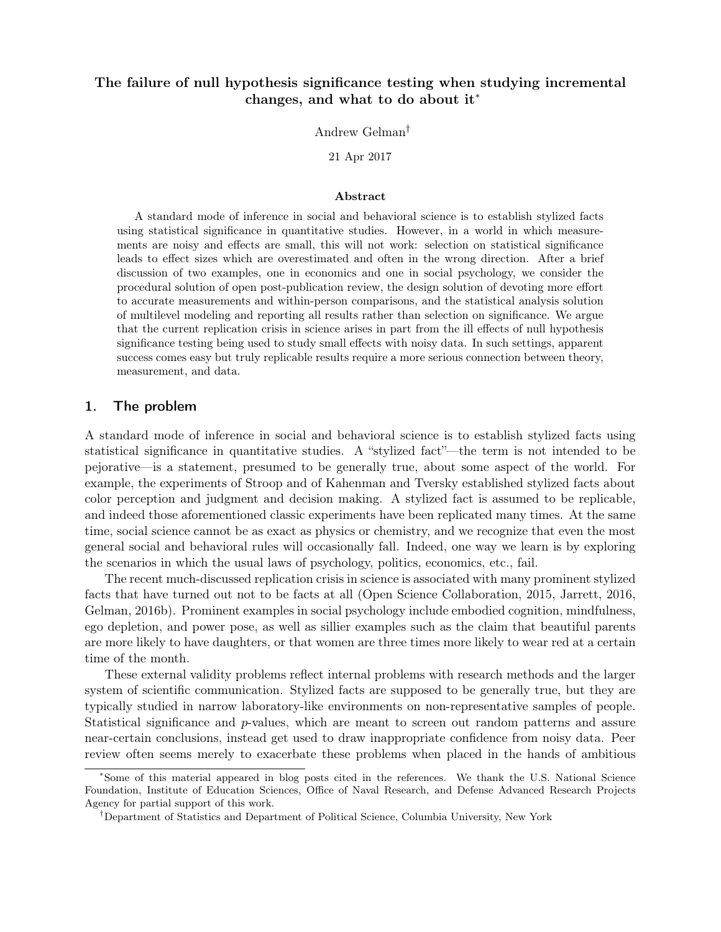# The failure of null hypothesis significance testing when studying incremental changes, and what to do about it<sup>∗</sup>

Andrew Gelman†

21 Apr 2017

### Abstract

A standard mode of inference in social and behavioral science is to establish stylized facts using statistical significance in quantitative studies. However, in a world in which measurements are noisy and effects are small, this will not work: selection on statistical significance leads to effect sizes which are overestimated and often in the wrong direction. After a brief discussion of two examples, one in economics and one in social psychology, we consider the procedural solution of open post-publication review, the design solution of devoting more effort to accurate measurements and within-person comparisons, and the statistical analysis solution of multilevel modeling and reporting all results rather than selection on significance. We argue that the current replication crisis in science arises in part from the ill effects of null hypothesis significance testing being used to study small effects with noisy data. In such settings, apparent success comes easy but truly replicable results require a more serious connection between theory, measurement, and data.

# 1. The problem

A standard mode of inference in social and behavioral science is to establish stylized facts using statistical significance in quantitative studies. A "stylized fact"—the term is not intended to be pejorative—is a statement, presumed to be generally true, about some aspect of the world. For example, the experiments of Stroop and of Kahenman and Tversky established stylized facts about color perception and judgment and decision making. A stylized fact is assumed to be replicable, and indeed those aforementioned classic experiments have been replicated many times. At the same time, social science cannot be as exact as physics or chemistry, and we recognize that even the most general social and behavioral rules will occasionally fall. Indeed, one way we learn is by exploring the scenarios in which the usual laws of psychology, politics, economics, etc., fail.

The recent much-discussed replication crisis in science is associated with many prominent stylized facts that have turned out not to be facts at all (Open Science Collaboration, 2015, Jarrett, 2016, Gelman, 2016b). Prominent examples in social psychology include embodied cognition, mindfulness, ego depletion, and power pose, as well as sillier examples such as the claim that beautiful parents are more likely to have daughters, or that women are three times more likely to wear red at a certain time of the month.

These external validity problems reflect internal problems with research methods and the larger system of scientific communication. Stylized facts are supposed to be generally true, but they are typically studied in narrow laboratory-like environments on non-representative samples of people. Statistical significance and p-values, which are meant to screen out random patterns and assure near-certain conclusions, instead get used to draw inappropriate confidence from noisy data. Peer review often seems merely to exacerbate these problems when placed in the hands of ambitious

<sup>∗</sup>Some of this material appeared in blog posts cited in the references. We thank the U.S. National Science Foundation, Institute of Education Sciences, Office of Naval Research, and Defense Advanced Research Projects Agency for partial support of this work.

<sup>†</sup>Department of Statistics and Department of Political Science, Columbia University, New York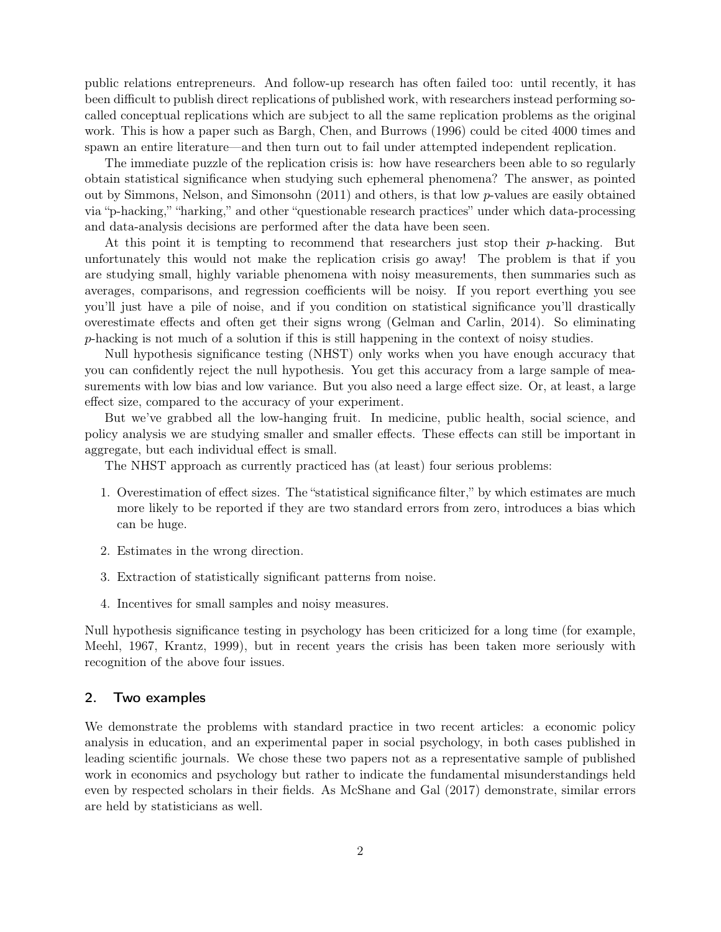public relations entrepreneurs. And follow-up research has often failed too: until recently, it has been difficult to publish direct replications of published work, with researchers instead performing socalled conceptual replications which are subject to all the same replication problems as the original work. This is how a paper such as Bargh, Chen, and Burrows (1996) could be cited 4000 times and spawn an entire literature—and then turn out to fail under attempted independent replication.

The immediate puzzle of the replication crisis is: how have researchers been able to so regularly obtain statistical significance when studying such ephemeral phenomena? The answer, as pointed out by Simmons, Nelson, and Simonsohn (2011) and others, is that low p-values are easily obtained via "p-hacking," "harking," and other "questionable research practices" under which data-processing and data-analysis decisions are performed after the data have been seen.

At this point it is tempting to recommend that researchers just stop their p-hacking. But unfortunately this would not make the replication crisis go away! The problem is that if you are studying small, highly variable phenomena with noisy measurements, then summaries such as averages, comparisons, and regression coefficients will be noisy. If you report everthing you see you'll just have a pile of noise, and if you condition on statistical significance you'll drastically overestimate effects and often get their signs wrong (Gelman and Carlin, 2014). So eliminating p-hacking is not much of a solution if this is still happening in the context of noisy studies.

Null hypothesis significance testing (NHST) only works when you have enough accuracy that you can confidently reject the null hypothesis. You get this accuracy from a large sample of measurements with low bias and low variance. But you also need a large effect size. Or, at least, a large effect size, compared to the accuracy of your experiment.

But we've grabbed all the low-hanging fruit. In medicine, public health, social science, and policy analysis we are studying smaller and smaller effects. These effects can still be important in aggregate, but each individual effect is small.

The NHST approach as currently practiced has (at least) four serious problems:

- 1. Overestimation of effect sizes. The "statistical significance filter," by which estimates are much more likely to be reported if they are two standard errors from zero, introduces a bias which can be huge.
- 2. Estimates in the wrong direction.
- 3. Extraction of statistically significant patterns from noise.
- 4. Incentives for small samples and noisy measures.

Null hypothesis significance testing in psychology has been criticized for a long time (for example, Meehl, 1967, Krantz, 1999), but in recent years the crisis has been taken more seriously with recognition of the above four issues.

## 2. Two examples

We demonstrate the problems with standard practice in two recent articles: a economic policy analysis in education, and an experimental paper in social psychology, in both cases published in leading scientific journals. We chose these two papers not as a representative sample of published work in economics and psychology but rather to indicate the fundamental misunderstandings held even by respected scholars in their fields. As McShane and Gal (2017) demonstrate, similar errors are held by statisticians as well.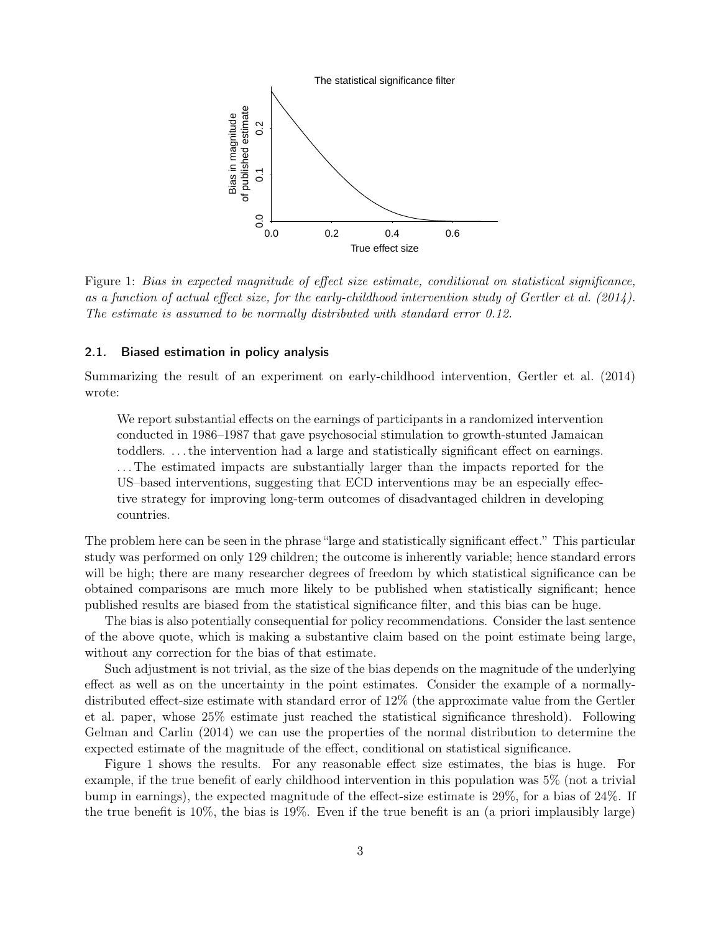

Figure 1: Bias in expected magnitude of effect size estimate, conditional on statistical significance, as a function of actual effect size, for the early-childhood intervention study of Gertler et al. (2014). The estimate is assumed to be normally distributed with standard error 0.12.

### 2.1. Biased estimation in policy analysis

Summarizing the result of an experiment on early-childhood intervention, Gertler et al. (2014) wrote:

We report substantial effects on the earnings of participants in a randomized intervention conducted in 1986–1987 that gave psychosocial stimulation to growth-stunted Jamaican toddlers. . . . the intervention had a large and statistically significant effect on earnings. . . . The estimated impacts are substantially larger than the impacts reported for the US–based interventions, suggesting that ECD interventions may be an especially effective strategy for improving long-term outcomes of disadvantaged children in developing countries.

The problem here can be seen in the phrase "large and statistically significant effect." This particular study was performed on only 129 children; the outcome is inherently variable; hence standard errors will be high; there are many researcher degrees of freedom by which statistical significance can be obtained comparisons are much more likely to be published when statistically significant; hence published results are biased from the statistical significance filter, and this bias can be huge.

The bias is also potentially consequential for policy recommendations. Consider the last sentence of the above quote, which is making a substantive claim based on the point estimate being large, without any correction for the bias of that estimate.

Such adjustment is not trivial, as the size of the bias depends on the magnitude of the underlying effect as well as on the uncertainty in the point estimates. Consider the example of a normallydistributed effect-size estimate with standard error of 12% (the approximate value from the Gertler et al. paper, whose 25% estimate just reached the statistical significance threshold). Following Gelman and Carlin (2014) we can use the properties of the normal distribution to determine the expected estimate of the magnitude of the effect, conditional on statistical significance.

Figure 1 shows the results. For any reasonable effect size estimates, the bias is huge. For example, if the true benefit of early childhood intervention in this population was 5% (not a trivial bump in earnings), the expected magnitude of the effect-size estimate is 29%, for a bias of 24%. If the true benefit is 10%, the bias is 19%. Even if the true benefit is an (a priori implausibly large)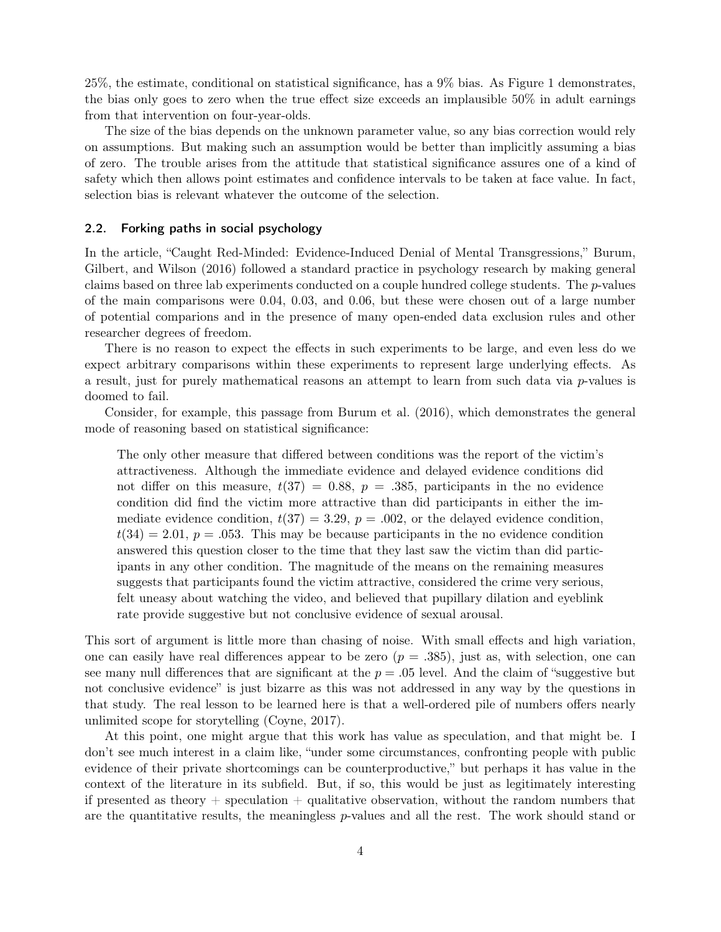25%, the estimate, conditional on statistical significance, has a 9% bias. As Figure 1 demonstrates, the bias only goes to zero when the true effect size exceeds an implausible 50% in adult earnings from that intervention on four-year-olds.

The size of the bias depends on the unknown parameter value, so any bias correction would rely on assumptions. But making such an assumption would be better than implicitly assuming a bias of zero. The trouble arises from the attitude that statistical significance assures one of a kind of safety which then allows point estimates and confidence intervals to be taken at face value. In fact, selection bias is relevant whatever the outcome of the selection.

#### 2.2. Forking paths in social psychology

In the article, "Caught Red-Minded: Evidence-Induced Denial of Mental Transgressions," Burum, Gilbert, and Wilson (2016) followed a standard practice in psychology research by making general claims based on three lab experiments conducted on a couple hundred college students. The p-values of the main comparisons were 0.04, 0.03, and 0.06, but these were chosen out of a large number of potential comparions and in the presence of many open-ended data exclusion rules and other researcher degrees of freedom.

There is no reason to expect the effects in such experiments to be large, and even less do we expect arbitrary comparisons within these experiments to represent large underlying effects. As a result, just for purely mathematical reasons an attempt to learn from such data via p-values is doomed to fail.

Consider, for example, this passage from Burum et al. (2016), which demonstrates the general mode of reasoning based on statistical significance:

The only other measure that differed between conditions was the report of the victim's attractiveness. Although the immediate evidence and delayed evidence conditions did not differ on this measure,  $t(37) = 0.88$ ,  $p = .385$ , participants in the no evidence condition did find the victim more attractive than did participants in either the immediate evidence condition,  $t(37) = 3.29$ ,  $p = .002$ , or the delayed evidence condition,  $t(34) = 2.01, p = .053$ . This may be because participants in the no evidence condition answered this question closer to the time that they last saw the victim than did participants in any other condition. The magnitude of the means on the remaining measures suggests that participants found the victim attractive, considered the crime very serious, felt uneasy about watching the video, and believed that pupillary dilation and eyeblink rate provide suggestive but not conclusive evidence of sexual arousal.

This sort of argument is little more than chasing of noise. With small effects and high variation, one can easily have real differences appear to be zero  $(p=.385)$ , just as, with selection, one can see many null differences that are significant at the  $p = 0.05$  level. And the claim of "suggestive but" not conclusive evidence" is just bizarre as this was not addressed in any way by the questions in that study. The real lesson to be learned here is that a well-ordered pile of numbers offers nearly unlimited scope for storytelling (Coyne, 2017).

At this point, one might argue that this work has value as speculation, and that might be. I don't see much interest in a claim like, "under some circumstances, confronting people with public evidence of their private shortcomings can be counterproductive," but perhaps it has value in the context of the literature in its subfield. But, if so, this would be just as legitimately interesting if presented as theory  $+$  speculation  $+$  qualitative observation, without the random numbers that are the quantitative results, the meaningless  $p$ -values and all the rest. The work should stand or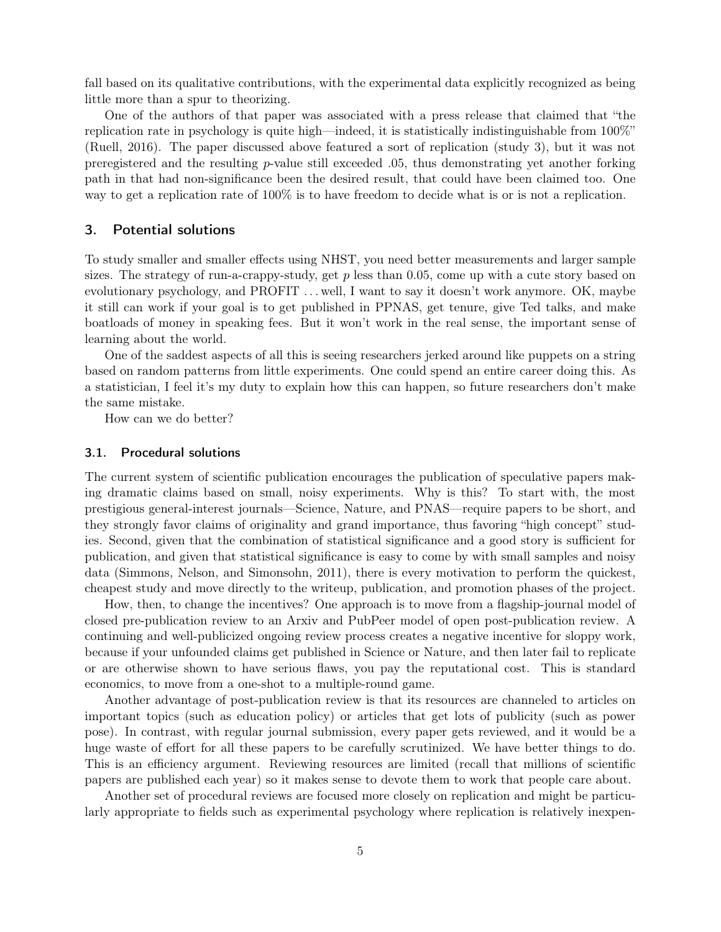fall based on its qualitative contributions, with the experimental data explicitly recognized as being little more than a spur to theorizing.

One of the authors of that paper was associated with a press release that claimed that "the replication rate in psychology is quite high—indeed, it is statistically indistinguishable from 100%" (Ruell, 2016). The paper discussed above featured a sort of replication (study 3), but it was not preregistered and the resulting p-value still exceeded .05, thus demonstrating yet another forking path in that had non-significance been the desired result, that could have been claimed too. One way to get a replication rate of 100% is to have freedom to decide what is or is not a replication.

# 3. Potential solutions

To study smaller and smaller effects using NHST, you need better measurements and larger sample sizes. The strategy of run-a-crappy-study, get  $p$  less than 0.05, come up with a cute story based on evolutionary psychology, and PROFIT . . . well, I want to say it doesn't work anymore. OK, maybe it still can work if your goal is to get published in PPNAS, get tenure, give Ted talks, and make boatloads of money in speaking fees. But it won't work in the real sense, the important sense of learning about the world.

One of the saddest aspects of all this is seeing researchers jerked around like puppets on a string based on random patterns from little experiments. One could spend an entire career doing this. As a statistician, I feel it's my duty to explain how this can happen, so future researchers don't make the same mistake.

How can we do better?

### 3.1. Procedural solutions

The current system of scientific publication encourages the publication of speculative papers making dramatic claims based on small, noisy experiments. Why is this? To start with, the most prestigious general-interest journals—Science, Nature, and PNAS—require papers to be short, and they strongly favor claims of originality and grand importance, thus favoring "high concept" studies. Second, given that the combination of statistical significance and a good story is sufficient for publication, and given that statistical significance is easy to come by with small samples and noisy data (Simmons, Nelson, and Simonsohn, 2011), there is every motivation to perform the quickest, cheapest study and move directly to the writeup, publication, and promotion phases of the project.

How, then, to change the incentives? One approach is to move from a flagship-journal model of closed pre-publication review to an Arxiv and PubPeer model of open post-publication review. A continuing and well-publicized ongoing review process creates a negative incentive for sloppy work, because if your unfounded claims get published in Science or Nature, and then later fail to replicate or are otherwise shown to have serious flaws, you pay the reputational cost. This is standard economics, to move from a one-shot to a multiple-round game.

Another advantage of post-publication review is that its resources are channeled to articles on important topics (such as education policy) or articles that get lots of publicity (such as power pose). In contrast, with regular journal submission, every paper gets reviewed, and it would be a huge waste of effort for all these papers to be carefully scrutinized. We have better things to do. This is an efficiency argument. Reviewing resources are limited (recall that millions of scientific papers are published each year) so it makes sense to devote them to work that people care about.

Another set of procedural reviews are focused more closely on replication and might be particularly appropriate to fields such as experimental psychology where replication is relatively inexpen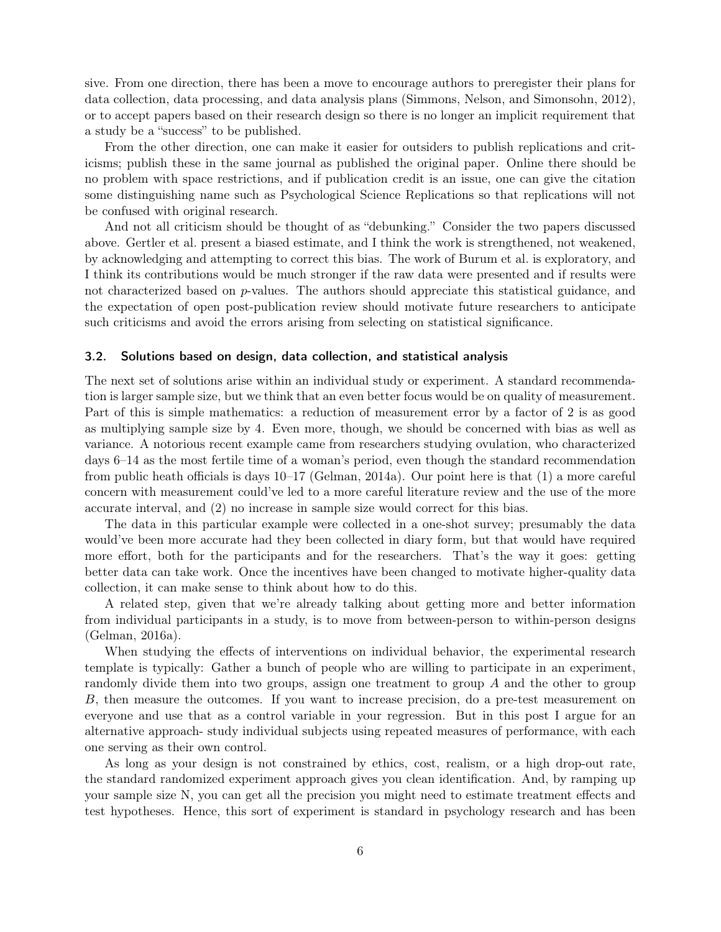sive. From one direction, there has been a move to encourage authors to preregister their plans for data collection, data processing, and data analysis plans (Simmons, Nelson, and Simonsohn, 2012), or to accept papers based on their research design so there is no longer an implicit requirement that a study be a "success" to be published.

From the other direction, one can make it easier for outsiders to publish replications and criticisms; publish these in the same journal as published the original paper. Online there should be no problem with space restrictions, and if publication credit is an issue, one can give the citation some distinguishing name such as Psychological Science Replications so that replications will not be confused with original research.

And not all criticism should be thought of as "debunking." Consider the two papers discussed above. Gertler et al. present a biased estimate, and I think the work is strengthened, not weakened, by acknowledging and attempting to correct this bias. The work of Burum et al. is exploratory, and I think its contributions would be much stronger if the raw data were presented and if results were not characterized based on p-values. The authors should appreciate this statistical guidance, and the expectation of open post-publication review should motivate future researchers to anticipate such criticisms and avoid the errors arising from selecting on statistical significance.

### 3.2. Solutions based on design, data collection, and statistical analysis

The next set of solutions arise within an individual study or experiment. A standard recommendation is larger sample size, but we think that an even better focus would be on quality of measurement. Part of this is simple mathematics: a reduction of measurement error by a factor of 2 is as good as multiplying sample size by 4. Even more, though, we should be concerned with bias as well as variance. A notorious recent example came from researchers studying ovulation, who characterized days 6–14 as the most fertile time of a woman's period, even though the standard recommendation from public heath officials is days 10–17 (Gelman, 2014a). Our point here is that (1) a more careful concern with measurement could've led to a more careful literature review and the use of the more accurate interval, and (2) no increase in sample size would correct for this bias.

The data in this particular example were collected in a one-shot survey; presumably the data would've been more accurate had they been collected in diary form, but that would have required more effort, both for the participants and for the researchers. That's the way it goes: getting better data can take work. Once the incentives have been changed to motivate higher-quality data collection, it can make sense to think about how to do this.

A related step, given that we're already talking about getting more and better information from individual participants in a study, is to move from between-person to within-person designs (Gelman, 2016a).

When studying the effects of interventions on individual behavior, the experimental research template is typically: Gather a bunch of people who are willing to participate in an experiment, randomly divide them into two groups, assign one treatment to group A and the other to group B, then measure the outcomes. If you want to increase precision, do a pre-test measurement on everyone and use that as a control variable in your regression. But in this post I argue for an alternative approach- study individual subjects using repeated measures of performance, with each one serving as their own control.

As long as your design is not constrained by ethics, cost, realism, or a high drop-out rate, the standard randomized experiment approach gives you clean identification. And, by ramping up your sample size N, you can get all the precision you might need to estimate treatment effects and test hypotheses. Hence, this sort of experiment is standard in psychology research and has been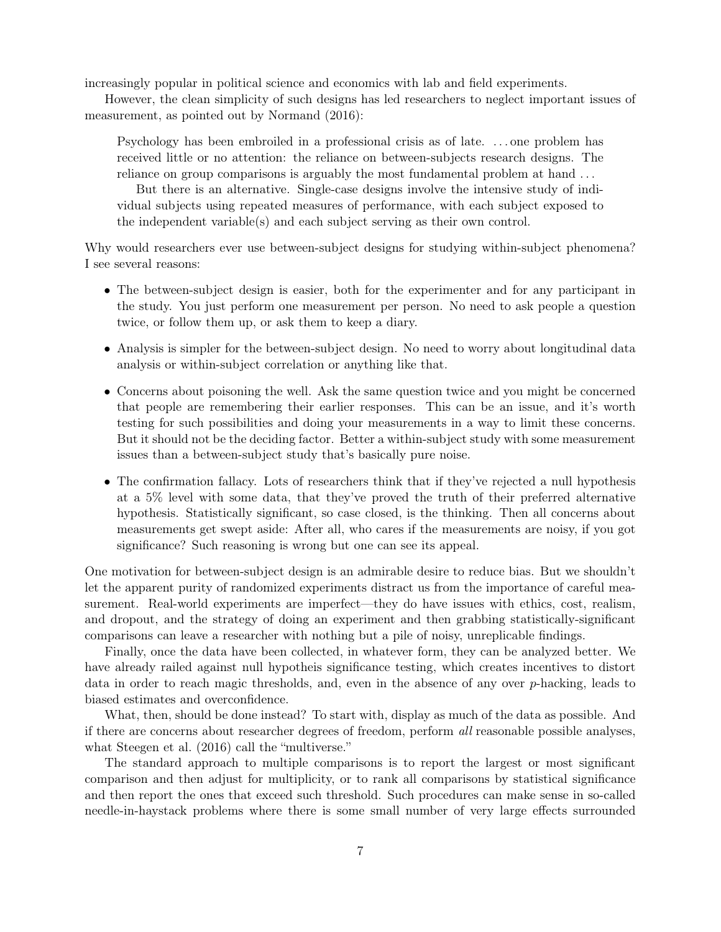increasingly popular in political science and economics with lab and field experiments.

However, the clean simplicity of such designs has led researchers to neglect important issues of measurement, as pointed out by Normand (2016):

Psychology has been embroiled in a professional crisis as of late. . . . one problem has received little or no attention: the reliance on between-subjects research designs. The reliance on group comparisons is arguably the most fundamental problem at hand . . .

But there is an alternative. Single-case designs involve the intensive study of individual subjects using repeated measures of performance, with each subject exposed to the independent variable(s) and each subject serving as their own control.

Why would researchers ever use between-subject designs for studying within-subject phenomena? I see several reasons:

- The between-subject design is easier, both for the experimenter and for any participant in the study. You just perform one measurement per person. No need to ask people a question twice, or follow them up, or ask them to keep a diary.
- Analysis is simpler for the between-subject design. No need to worry about longitudinal data analysis or within-subject correlation or anything like that.
- Concerns about poisoning the well. Ask the same question twice and you might be concerned that people are remembering their earlier responses. This can be an issue, and it's worth testing for such possibilities and doing your measurements in a way to limit these concerns. But it should not be the deciding factor. Better a within-subject study with some measurement issues than a between-subject study that's basically pure noise.
- The confirmation fallacy. Lots of researchers think that if they've rejected a null hypothesis at a 5% level with some data, that they've proved the truth of their preferred alternative hypothesis. Statistically significant, so case closed, is the thinking. Then all concerns about measurements get swept aside: After all, who cares if the measurements are noisy, if you got significance? Such reasoning is wrong but one can see its appeal.

One motivation for between-subject design is an admirable desire to reduce bias. But we shouldn't let the apparent purity of randomized experiments distract us from the importance of careful measurement. Real-world experiments are imperfect—they do have issues with ethics, cost, realism, and dropout, and the strategy of doing an experiment and then grabbing statistically-significant comparisons can leave a researcher with nothing but a pile of noisy, unreplicable findings.

Finally, once the data have been collected, in whatever form, they can be analyzed better. We have already railed against null hypotheis significance testing, which creates incentives to distort data in order to reach magic thresholds, and, even in the absence of any over p-hacking, leads to biased estimates and overconfidence.

What, then, should be done instead? To start with, display as much of the data as possible. And if there are concerns about researcher degrees of freedom, perform all reasonable possible analyses, what Steegen et al. (2016) call the "multiverse."

The standard approach to multiple comparisons is to report the largest or most significant comparison and then adjust for multiplicity, or to rank all comparisons by statistical significance and then report the ones that exceed such threshold. Such procedures can make sense in so-called needle-in-haystack problems where there is some small number of very large effects surrounded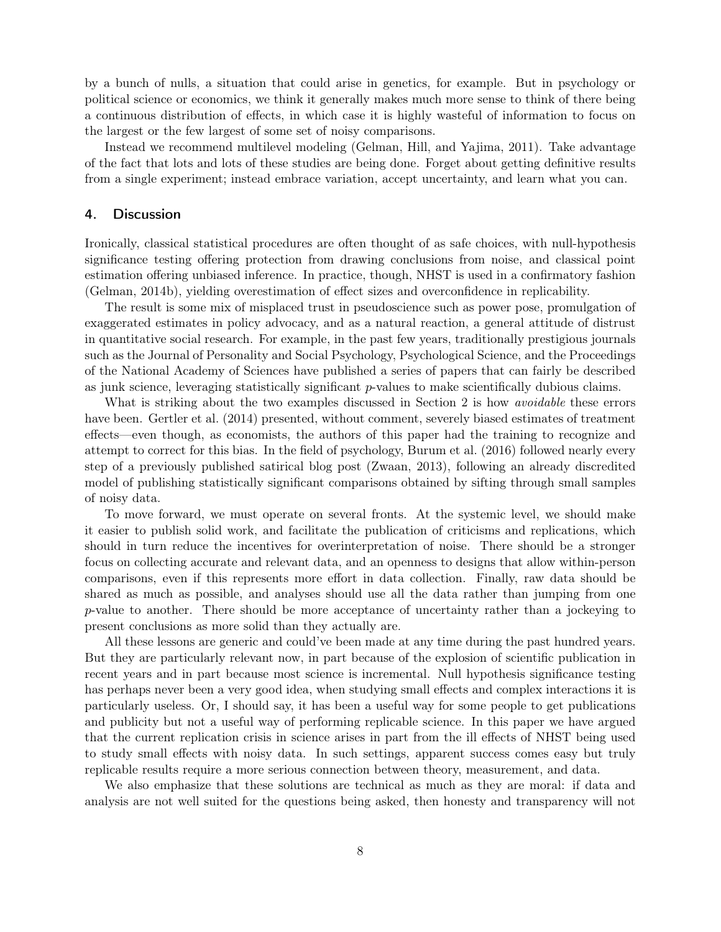by a bunch of nulls, a situation that could arise in genetics, for example. But in psychology or political science or economics, we think it generally makes much more sense to think of there being a continuous distribution of effects, in which case it is highly wasteful of information to focus on the largest or the few largest of some set of noisy comparisons.

Instead we recommend multilevel modeling (Gelman, Hill, and Yajima, 2011). Take advantage of the fact that lots and lots of these studies are being done. Forget about getting definitive results from a single experiment; instead embrace variation, accept uncertainty, and learn what you can.

## 4. Discussion

Ironically, classical statistical procedures are often thought of as safe choices, with null-hypothesis significance testing offering protection from drawing conclusions from noise, and classical point estimation offering unbiased inference. In practice, though, NHST is used in a confirmatory fashion (Gelman, 2014b), yielding overestimation of effect sizes and overconfidence in replicability.

The result is some mix of misplaced trust in pseudoscience such as power pose, promulgation of exaggerated estimates in policy advocacy, and as a natural reaction, a general attitude of distrust in quantitative social research. For example, in the past few years, traditionally prestigious journals such as the Journal of Personality and Social Psychology, Psychological Science, and the Proceedings of the National Academy of Sciences have published a series of papers that can fairly be described as junk science, leveraging statistically significant  $p$ -values to make scientifically dubious claims.

What is striking about the two examples discussed in Section 2 is how *avoidable* these errors have been. Gertler et al. (2014) presented, without comment, severely biased estimates of treatment effects—even though, as economists, the authors of this paper had the training to recognize and attempt to correct for this bias. In the field of psychology, Burum et al. (2016) followed nearly every step of a previously published satirical blog post (Zwaan, 2013), following an already discredited model of publishing statistically significant comparisons obtained by sifting through small samples of noisy data.

To move forward, we must operate on several fronts. At the systemic level, we should make it easier to publish solid work, and facilitate the publication of criticisms and replications, which should in turn reduce the incentives for overinterpretation of noise. There should be a stronger focus on collecting accurate and relevant data, and an openness to designs that allow within-person comparisons, even if this represents more effort in data collection. Finally, raw data should be shared as much as possible, and analyses should use all the data rather than jumping from one p-value to another. There should be more acceptance of uncertainty rather than a jockeying to present conclusions as more solid than they actually are.

All these lessons are generic and could've been made at any time during the past hundred years. But they are particularly relevant now, in part because of the explosion of scientific publication in recent years and in part because most science is incremental. Null hypothesis significance testing has perhaps never been a very good idea, when studying small effects and complex interactions it is particularly useless. Or, I should say, it has been a useful way for some people to get publications and publicity but not a useful way of performing replicable science. In this paper we have argued that the current replication crisis in science arises in part from the ill effects of NHST being used to study small effects with noisy data. In such settings, apparent success comes easy but truly replicable results require a more serious connection between theory, measurement, and data.

We also emphasize that these solutions are technical as much as they are moral: if data and analysis are not well suited for the questions being asked, then honesty and transparency will not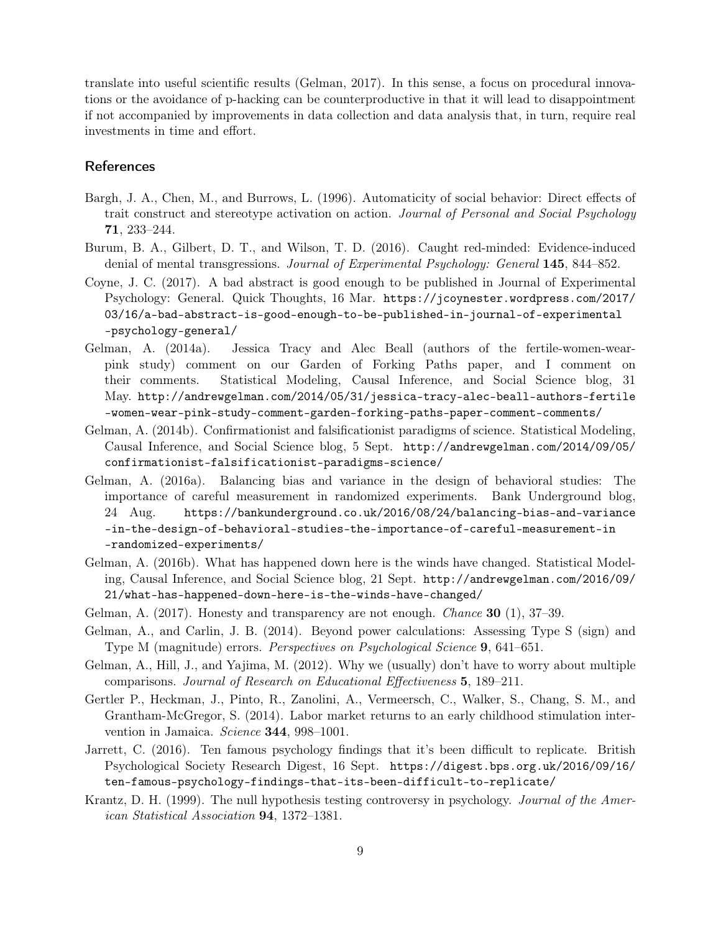translate into useful scientific results (Gelman, 2017). In this sense, a focus on procedural innovations or the avoidance of p-hacking can be counterproductive in that it will lead to disappointment if not accompanied by improvements in data collection and data analysis that, in turn, require real investments in time and effort.

# References

- Bargh, J. A., Chen, M., and Burrows, L. (1996). Automaticity of social behavior: Direct effects of trait construct and stereotype activation on action. Journal of Personal and Social Psychology 71, 233–244.
- Burum, B. A., Gilbert, D. T., and Wilson, T. D. (2016). Caught red-minded: Evidence-induced denial of mental transgressions. Journal of Experimental Psychology: General 145, 844–852.
- Coyne, J. C. (2017). A bad abstract is good enough to be published in Journal of Experimental Psychology: General. Quick Thoughts, 16 Mar. https://jcoynester.wordpress.com/2017/ 03/16/a-bad-abstract-is-good-enough-to-be-published-in-journal-of-experimental -psychology-general/
- Gelman, A. (2014a). Jessica Tracy and Alec Beall (authors of the fertile-women-wearpink study) comment on our Garden of Forking Paths paper, and I comment on their comments. Statistical Modeling, Causal Inference, and Social Science blog, 31 May. http://andrewgelman.com/2014/05/31/jessica-tracy-alec-beall-authors-fertile -women-wear-pink-study-comment-garden-forking-paths-paper-comment-comments/
- Gelman, A. (2014b). Confirmationist and falsificationist paradigms of science. Statistical Modeling, Causal Inference, and Social Science blog, 5 Sept. http://andrewgelman.com/2014/09/05/ confirmationist-falsificationist-paradigms-science/
- Gelman, A. (2016a). Balancing bias and variance in the design of behavioral studies: The importance of careful measurement in randomized experiments. Bank Underground blog, 24 Aug. https://bankunderground.co.uk/2016/08/24/balancing-bias-and-variance -in-the-design-of-behavioral-studies-the-importance-of-careful-measurement-in -randomized-experiments/
- Gelman, A. (2016b). What has happened down here is the winds have changed. Statistical Modeling, Causal Inference, and Social Science blog, 21 Sept. http://andrewgelman.com/2016/09/ 21/what-has-happened-down-here-is-the-winds-have-changed/
- Gelman, A. (2017). Honesty and transparency are not enough. *Chance* **30** (1), 37–39.
- Gelman, A., and Carlin, J. B. (2014). Beyond power calculations: Assessing Type S (sign) and Type M (magnitude) errors. Perspectives on Psychological Science 9, 641–651.
- Gelman, A., Hill, J., and Yajima, M. (2012). Why we (usually) don't have to worry about multiple comparisons. Journal of Research on Educational Effectiveness 5, 189–211.
- Gertler P., Heckman, J., Pinto, R., Zanolini, A., Vermeersch, C., Walker, S., Chang, S. M., and Grantham-McGregor, S. (2014). Labor market returns to an early childhood stimulation intervention in Jamaica. Science  $344, 998-1001$ .
- Jarrett, C. (2016). Ten famous psychology findings that it's been difficult to replicate. British Psychological Society Research Digest, 16 Sept. https://digest.bps.org.uk/2016/09/16/ ten-famous-psychology-findings-that-its-been-difficult-to-replicate/
- Krantz, D. H. (1999). The null hypothesis testing controversy in psychology. Journal of the American Statistical Association 94, 1372–1381.